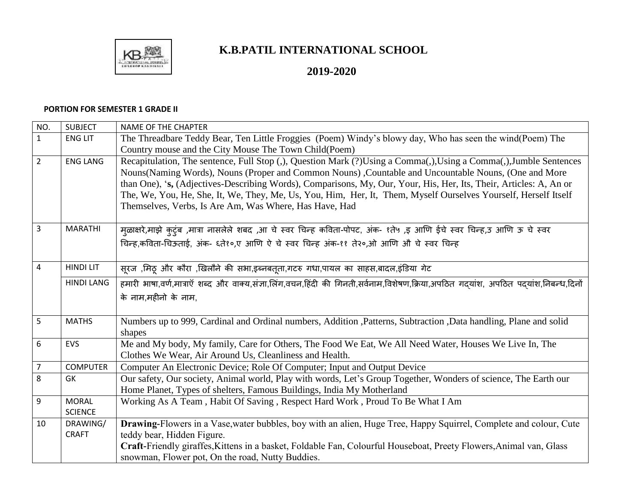

## **K.B.PATIL INTERNATIONAL SCHOOL**

## **2019-2020**

## **PORTION FOR SEMESTER 1 GRADE II**

| NO.            | <b>SUBJECT</b>           | <b>NAME OF THE CHAPTER</b>                                                                                                                       |
|----------------|--------------------------|--------------------------------------------------------------------------------------------------------------------------------------------------|
| $\mathbf{1}$   | <b>ENG LIT</b>           | The Threadbare Teddy Bear, Ten Little Froggies (Poem) Windy's blowy day, Who has seen the wind(Poem) The                                         |
|                |                          | Country mouse and the City Mouse The Town Child (Poem)                                                                                           |
| $\overline{2}$ | <b>ENG LANG</b>          | Recapitulation, The sentence, Full Stop (,), Question Mark (?)Using a Comma(,),Using a Comma(,),Jumble Sentences                                 |
|                |                          | Nouns (Naming Words), Nouns (Proper and Common Nouns), Countable and Uncountable Nouns, (One and More                                            |
|                |                          | than One), 's, (Adjectives-Describing Words), Comparisons, My, Our, Your, His, Her, Its, Their, Articles: A, An or                               |
|                |                          | The, We, You, He, She, It, We, They, Me, Us, You, Him, Her, It, Them, Myself Ourselves Yourself, Herself Itself                                  |
|                |                          | Themselves, Verbs, Is Are Am, Was Where, Has Have, Had                                                                                           |
| 3              | <b>MARATHI</b>           |                                                                                                                                                  |
|                |                          | म़्ळाक्षरे,माझे कुटुंब ,मात्रा नासलेले शबद ,आ चे स्वर चिन्ह कविता-पोपट, अंक- १ते७ ,इ आणि ईचे स्वर चिन्ह,उ आणि ऊ चे स्वर                          |
|                |                          | चिन्ह,कविता-चिऊताई, अंक- ६ते१०,ए आणि ऐ चे स्वर चिन्ह अंक-११ ते२०,ओ आणि औ चे स्वर चिन्ह                                                           |
| $\overline{4}$ | <b>HINDI LIT</b>         |                                                                                                                                                  |
|                |                          | सूरज ,मिठू और कौरा ,खिलौने की सभा,इब्नबतूता,गटरु गधा,पायल का साहस,बादल,इंडिया गेट                                                                |
|                | <b>HINDI LANG</b>        | हमारी भाषा,वर्ण,मात्राऍ शब्द और वाक्य,संज्ञा,लिंग,वचन,हिंदी की गिनती,सर्वनाम,विशेषण,क्रिया,अपठित गदयांश, अपठित पदयांश,निबन्ध,दिनों               |
|                |                          | के नाम,महीनो के नाम,                                                                                                                             |
|                |                          |                                                                                                                                                  |
| 5              | <b>MATHS</b>             | Numbers up to 999, Cardinal and Ordinal numbers, Addition ,Patterns, Subtraction ,Data handling, Plane and solid                                 |
|                |                          | shapes                                                                                                                                           |
| 6              | EVS                      | Me and My body, My family, Care for Others, The Food We Eat, We All Need Water, Houses We Live In, The                                           |
|                |                          | Clothes We Wear, Air Around Us, Cleanliness and Health.                                                                                          |
| $\overline{7}$ | <b>COMPUTER</b>          | Computer An Electronic Device; Role Of Computer; Input and Output Device                                                                         |
| 8              | GK                       | Our safety, Our society, Animal world, Play with words, Let's Group Together, Wonders of science, The Earth our                                  |
|                |                          | Home Planet, Types of shelters, Famous Buildings, India My Motherland                                                                            |
| 9              | <b>MORAL</b>             | Working As A Team, Habit Of Saving, Respect Hard Work, Proud To Be What I Am                                                                     |
|                | <b>SCIENCE</b>           |                                                                                                                                                  |
| 10             | DRAWING/<br><b>CRAFT</b> | Drawing-Flowers in a Vase, water bubbles, boy with an alien, Huge Tree, Happy Squirrel, Complete and colour, Cute                                |
|                |                          | teddy bear, Hidden Figure.<br>Craft-Friendly giraffes, Kittens in a basket, Foldable Fan, Colourful Houseboat, Preety Flowers, Animal van, Glass |
|                |                          |                                                                                                                                                  |
|                |                          | snowman, Flower pot, On the road, Nutty Buddies.                                                                                                 |